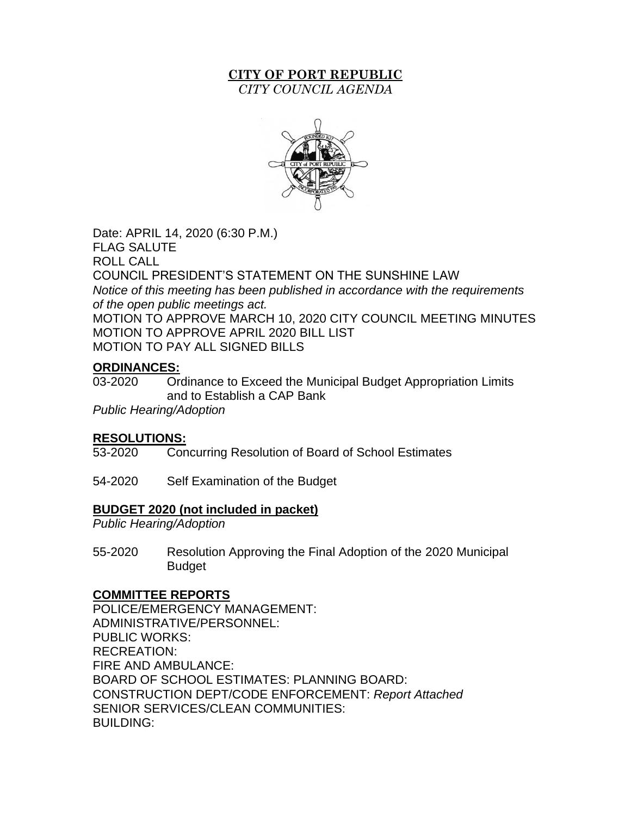# **CITY OF PORT REPUBLIC**

*CITY COUNCIL AGENDA*



Date: APRIL 14, 2020 (6:30 P.M.) FLAG SALUTE ROLL CALL COUNCIL PRESIDENT'S STATEMENT ON THE SUNSHINE LAW *Notice of this meeting has been published in accordance with the requirements of the open public meetings act.* MOTION TO APPROVE MARCH 10, 2020 CITY COUNCIL MEETING MINUTES MOTION TO APPROVE APRIL 2020 BILL LIST MOTION TO PAY ALL SIGNED BILLS

# **ORDINANCES:**

03-2020 Ordinance to Exceed the Municipal Budget Appropriation Limits and to Establish a CAP Bank

*Public Hearing/Adoption*

## **RESOLUTIONS:**

53-2020 Concurring Resolution of Board of School Estimates

54-2020 Self Examination of the Budget

## **BUDGET 2020 (not included in packet)**

*Public Hearing/Adoption*

55-2020 Resolution Approving the Final Adoption of the 2020 Municipal Budget

## **COMMITTEE REPORTS**

POLICE/EMERGENCY MANAGEMENT: ADMINISTRATIVE/PERSONNEL: PUBLIC WORKS: RECREATION: FIRE AND AMBULANCE: BOARD OF SCHOOL ESTIMATES: PLANNING BOARD: CONSTRUCTION DEPT/CODE ENFORCEMENT: *Report Attached*  SENIOR SERVICES/CLEAN COMMUNITIES: BUILDING: